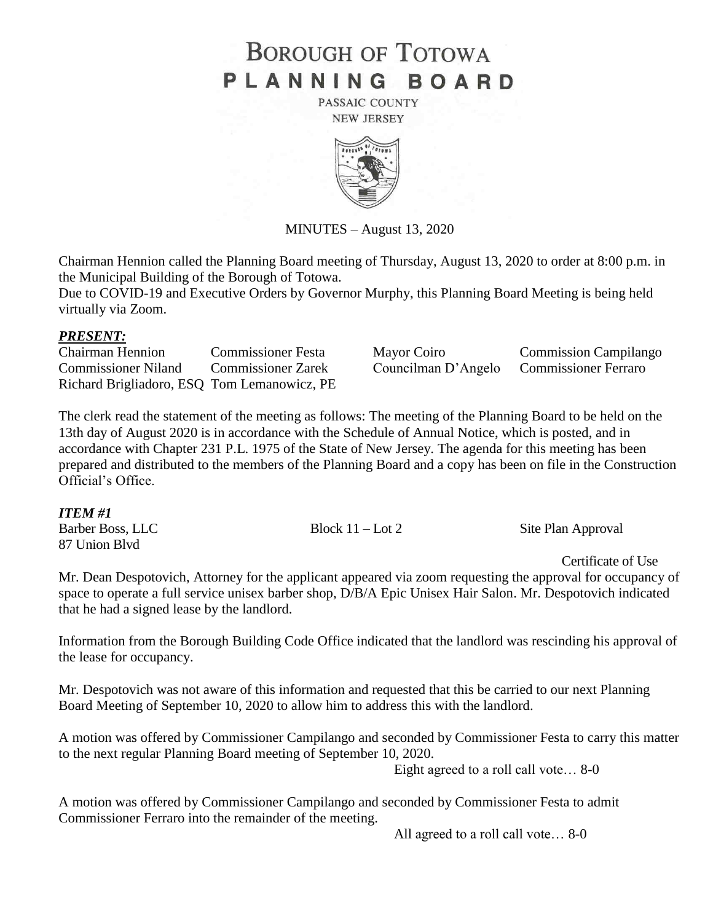# **BOROUGH OF TOTOWA** PLANNING BOARD

PASSAIC COUNTY **NEW JERSEY** 



MINUTES – August 13, 2020

Chairman Hennion called the Planning Board meeting of Thursday, August 13, 2020 to order at 8:00 p.m. in the Municipal Building of the Borough of Totowa.

Due to COVID-19 and Executive Orders by Governor Murphy, this Planning Board Meeting is being held virtually via Zoom.

### *PRESENT:*

Chairman Hennion Commissioner Festa Mayor Coiro Commission Campilango Commissioner Niland Commissioner Zarek Councilman D'Angelo Commissioner Ferraro Richard Brigliadoro, ESQ Tom Lemanowicz, PE

The clerk read the statement of the meeting as follows: The meeting of the Planning Board to be held on the 13th day of August 2020 is in accordance with the Schedule of Annual Notice, which is posted, and in accordance with Chapter 231 P.L. 1975 of the State of New Jersey. The agenda for this meeting has been prepared and distributed to the members of the Planning Board and a copy has been on file in the Construction Official's Office.

#### *ITEM #1*

Barber Boss, LLC Block 11 – Lot 2 Site Plan Approval 87 Union Blvd

Certificate of Use

Mr. Dean Despotovich, Attorney for the applicant appeared via zoom requesting the approval for occupancy of space to operate a full service unisex barber shop, D/B/A Epic Unisex Hair Salon. Mr. Despotovich indicated that he had a signed lease by the landlord.

Information from the Borough Building Code Office indicated that the landlord was rescinding his approval of the lease for occupancy.

Mr. Despotovich was not aware of this information and requested that this be carried to our next Planning Board Meeting of September 10, 2020 to allow him to address this with the landlord.

A motion was offered by Commissioner Campilango and seconded by Commissioner Festa to carry this matter to the next regular Planning Board meeting of September 10, 2020.

Eight agreed to a roll call vote… 8-0

A motion was offered by Commissioner Campilango and seconded by Commissioner Festa to admit Commissioner Ferraro into the remainder of the meeting.

All agreed to a roll call vote… 8-0